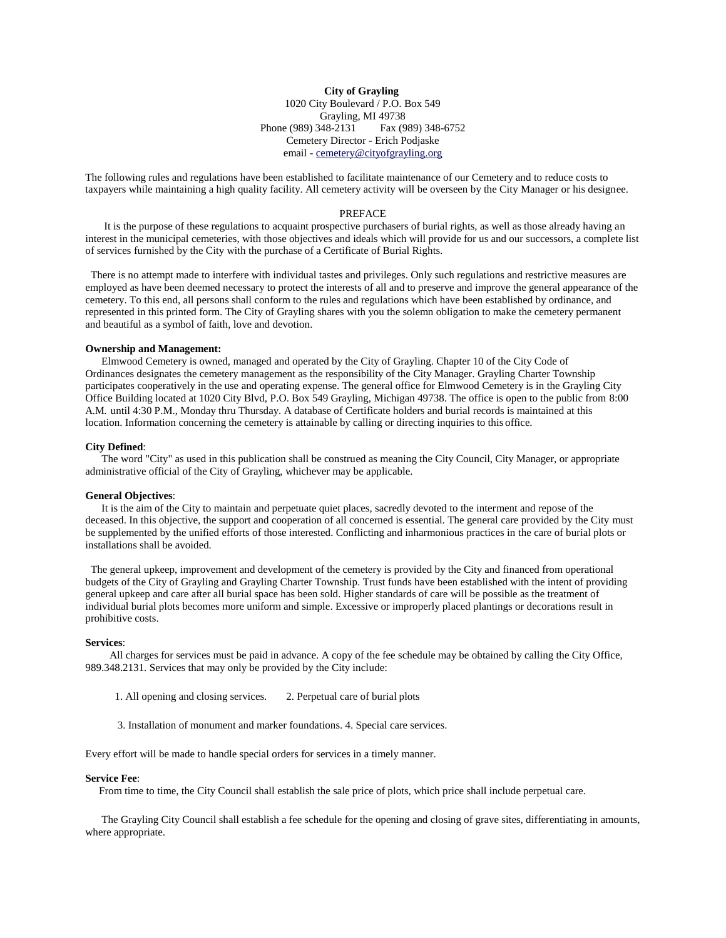**City of Grayling** 1020 City Boulevard / P.O. Box 549 Grayling, MI 49738 Phone (989) 348-2131 Fax (989) 348-6752 Cemetery Director - Erich Podjaske email - [cemetery@cityofgrayling.org](mailto:cemetery@cityofgrayling.org)

The following rules and regulations have been established to facilitate maintenance of our Cemetery and to reduce costs to taxpayers while maintaining a high quality facility. All cemetery activity will be overseen by the City Manager or his designee.

### PREFACE

It is the purpose of these regulations to acquaint prospective purchasers of burial rights, as well as those already having an interest in the municipal cemeteries, with those objectives and ideals which will provide for us and our successors, a complete list of services furnished by the City with the purchase of a Certificate of Burial Rights.

There is no attempt made to interfere with individual tastes and privileges. Only such regulations and restrictive measures are employed as have been deemed necessary to protect the interests of all and to preserve and improve the general appearance of the cemetery. To this end, all persons shall conform to the rules and regulations which have been established by ordinance, and represented in this printed form. The City of Grayling shares with you the solemn obligation to make the cemetery permanent and beautiful as a symbol of faith, love and devotion.

### **Ownership and Management:**

Elmwood Cemetery is owned, managed and operated by the City of Grayling. Chapter 10 of the City Code of Ordinances designates the cemetery management as the responsibility of the City Manager. Grayling Charter Township participates cooperatively in the use and operating expense. The general office for Elmwood Cemetery is in the Grayling City Office Building located at 1020 City Blvd, P.O. Box 549 Grayling, Michigan 49738. The office is open to the public from 8:00 A.M. until 4:30 P.M., Monday thru Thursday. A database of Certificate holders and burial records is maintained at this location. Information concerning the cemetery is attainable by calling or directing inquiries to this office.

#### **City Defined**:

The word "City" as used in this publication shall be construed as meaning the City Council, City Manager, or appropriate administrative official of the City of Grayling, whichever may be applicable.

### **General Objectives**:

It is the aim of the City to maintain and perpetuate quiet places, sacredly devoted to the interment and repose of the deceased. In this objective, the support and cooperation of all concerned is essential. The general care provided by the City must be supplemented by the unified efforts of those interested. Conflicting and inharmonious practices in the care of burial plots or installations shall be avoided.

The general upkeep, improvement and development of the cemetery is provided by the City and financed from operational budgets of the City of Grayling and Grayling Charter Township. Trust funds have been established with the intent of providing general upkeep and care after all burial space has been sold. Higher standards of care will be possible as the treatment of individual burial plots becomes more uniform and simple. Excessive or improperly placed plantings or decorations result in prohibitive costs.

### **Services**:

All charges for services must be paid in advance. A copy of the fee schedule may be obtained by calling the City Office, 989.348.2131. Services that may only be provided by the City include:

1. All opening and closing services. 2. Perpetual care of burial plots

3. Installation of monument and marker foundations. 4. Special care services.

Every effort will be made to handle special orders for services in a timely manner.

### **Service Fee**:

From time to time, the City Council shall establish the sale price of plots, which price shall include perpetual care.

The Grayling City Council shall establish a fee schedule for the opening and closing of grave sites, differentiating in amounts, where appropriate.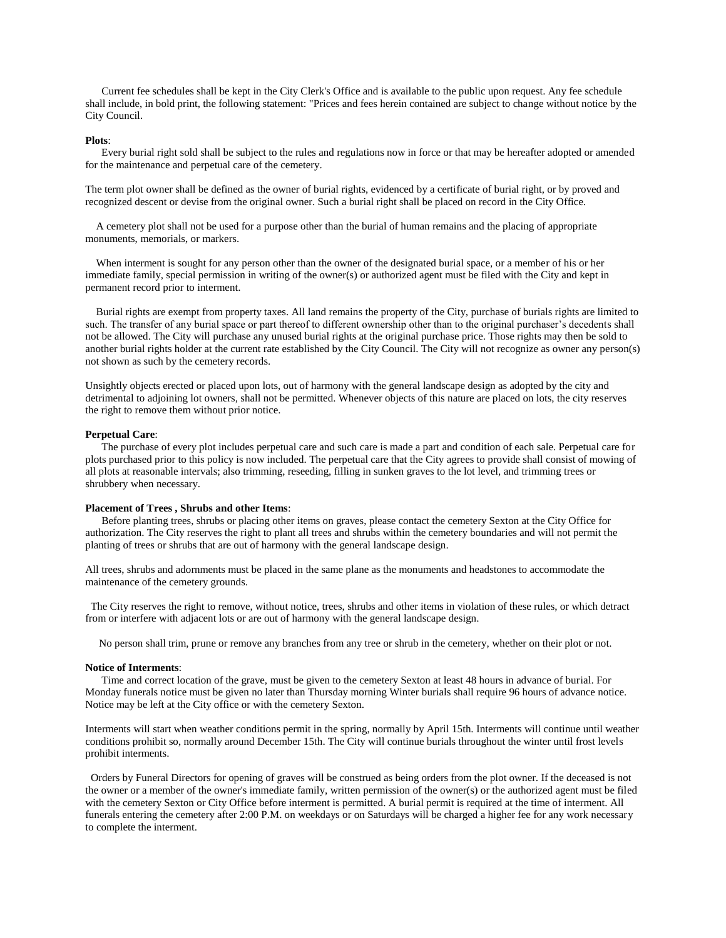Current fee schedules shall be kept in the City Clerk's Office and is available to the public upon request. Any fee schedule shall include, in bold print, the following statement: "Prices and fees herein contained are subject to change without notice by the City Council.

### **Plots**:

Every burial right sold shall be subject to the rules and regulations now in force or that may be hereafter adopted or amended for the maintenance and perpetual care of the cemetery.

The term plot owner shall be defined as the owner of burial rights, evidenced by a certificate of burial right, or by proved and recognized descent or devise from the original owner. Such a burial right shall be placed on record in the City Office.

A cemetery plot shall not be used for a purpose other than the burial of human remains and the placing of appropriate monuments, memorials, or markers.

When interment is sought for any person other than the owner of the designated burial space, or a member of his or her immediate family, special permission in writing of the owner(s) or authorized agent must be filed with the City and kept in permanent record prior to interment.

Burial rights are exempt from property taxes. All land remains the property of the City, purchase of burials rights are limited to such. The transfer of any burial space or part thereof to different ownership other than to the original purchaser's decedents shall not be allowed. The City will purchase any unused burial rights at the original purchase price. Those rights may then be sold to another burial rights holder at the current rate established by the City Council. The City will not recognize as owner any person(s) not shown as such by the cemetery records.

Unsightly objects erected or placed upon lots, out of harmony with the general landscape design as adopted by the city and detrimental to adjoining lot owners, shall not be permitted. Whenever objects of this nature are placed on lots, the city reserves the right to remove them without prior notice.

## **Perpetual Care**:

The purchase of every plot includes perpetual care and such care is made a part and condition of each sale. Perpetual care for plots purchased prior to this policy is now included. The perpetual care that the City agrees to provide shall consist of mowing of all plots at reasonable intervals; also trimming, reseeding, filling in sunken graves to the lot level, and trimming trees or shrubbery when necessary.

# **Placement of Trees , Shrubs and other Items**:

Before planting trees, shrubs or placing other items on graves, please contact the cemetery Sexton at the City Office for authorization. The City reserves the right to plant all trees and shrubs within the cemetery boundaries and will not permit the planting of trees or shrubs that are out of harmony with the general landscape design.

All trees, shrubs and adornments must be placed in the same plane as the monuments and headstones to accommodate the maintenance of the cemetery grounds.

The City reserves the right to remove, without notice, trees, shrubs and other items in violation of these rules, or which detract from or interfere with adjacent lots or are out of harmony with the general landscape design.

No person shall trim, prune or remove any branches from any tree or shrub in the cemetery, whether on their plot or not.

#### **Notice of Interments**:

Time and correct location of the grave, must be given to the cemetery Sexton at least 48 hours in advance of burial. For Monday funerals notice must be given no later than Thursday morning Winter burials shall require 96 hours of advance notice. Notice may be left at the City office or with the cemetery Sexton.

Interments will start when weather conditions permit in the spring, normally by April 15th. Interments will continue until weather conditions prohibit so, normally around December 15th. The City will continue burials throughout the winter until frost levels prohibit interments.

Orders by Funeral Directors for opening of graves will be construed as being orders from the plot owner. If the deceased is not the owner or a member of the owner's immediate family, written permission of the owner(s) or the authorized agent must be filed with the cemetery Sexton or City Office before interment is permitted. A burial permit is required at the time of interment. All funerals entering the cemetery after 2:00 P.M. on weekdays or on Saturdays will be charged a higher fee for any work necessary to complete the interment.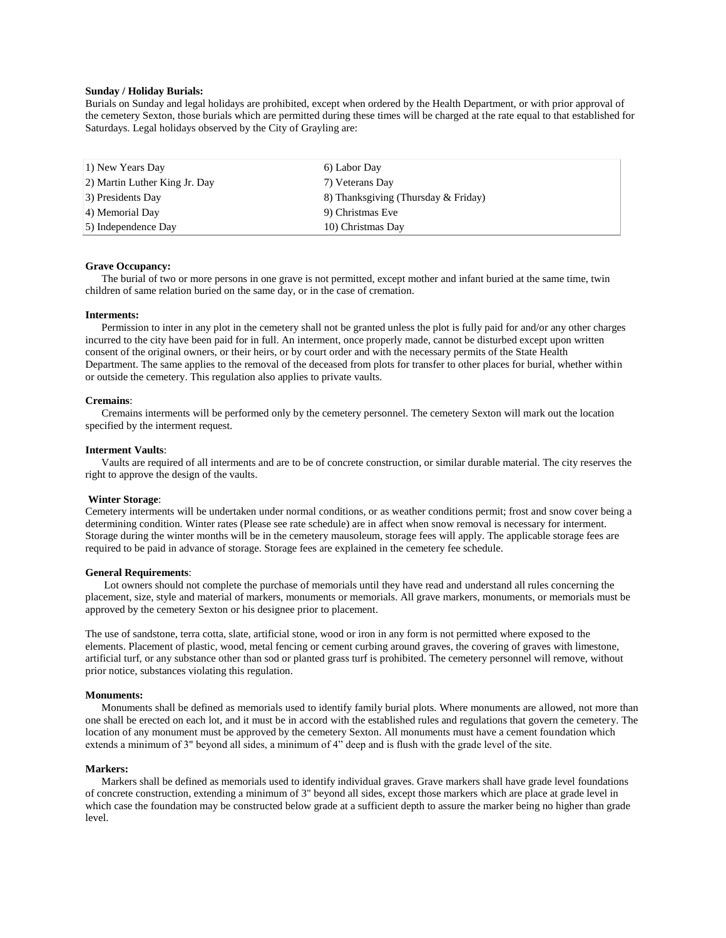### **Sunday / Holiday Burials:**

Burials on Sunday and legal holidays are prohibited, except when ordered by the Health Department, or with prior approval of the cemetery Sexton, those burials which are permitted during these times will be charged at the rate equal to that established for Saturdays. Legal holidays observed by the City of Grayling are:

| 1) New Years Day              | 6) Labor Day                        |
|-------------------------------|-------------------------------------|
| 2) Martin Luther King Jr. Day | 7) Veterans Day                     |
| 3) Presidents Day             | 8) Thanksgiving (Thursday & Friday) |
| 4) Memorial Day               | 9) Christmas Eve                    |
| 5) Independence Day           | 10) Christmas Day                   |

# **Grave Occupancy:**

The burial of two or more persons in one grave is not permitted, except mother and infant buried at the same time, twin children of same relation buried on the same day, or in the case of cremation.

### **Interments:**

Permission to inter in any plot in the cemetery shall not be granted unless the plot is fully paid for and/or any other charges incurred to the city have been paid for in full. An interment, once properly made, cannot be disturbed except upon written consent of the original owners, or their heirs, or by court order and with the necessary permits of the State Health Department. The same applies to the removal of the deceased from plots for transfer to other places for burial, whether within or outside the cemetery. This regulation also applies to private vaults.

### **Cremains**:

Cremains interments will be performed only by the cemetery personnel. The cemetery Sexton will mark out the location specified by the interment request.

### **Interment Vaults**:

Vaults are required of all interments and are to be of concrete construction, or similar durable material. The city reserves the right to approve the design of the vaults.

### **Winter Storage**:

Cemetery interments will be undertaken under normal conditions, or as weather conditions permit; frost and snow cover being a determining condition. Winter rates (Please see rate schedule) are in affect when snow removal is necessary for interment. Storage during the winter months will be in the cemetery mausoleum, storage fees will apply. The applicable storage fees are required to be paid in advance of storage. Storage fees are explained in the cemetery fee schedule.

#### **General Requirements**:

Lot owners should not complete the purchase of memorials until they have read and understand all rules concerning the placement, size, style and material of markers, monuments or memorials. All grave markers, monuments, or memorials must be approved by the cemetery Sexton or his designee prior to placement.

The use of sandstone, terra cotta, slate, artificial stone, wood or iron in any form is not permitted where exposed to the elements. Placement of plastic, wood, metal fencing or cement curbing around graves, the covering of graves with limestone, artificial turf, or any substance other than sod or planted grass turf is prohibited. The cemetery personnel will remove, without prior notice, substances violating this regulation.

### **Monuments:**

Monuments shall be defined as memorials used to identify family burial plots. Where monuments are allowed, not more than one shall be erected on each lot, and it must be in accord with the established rules and regulations that govern the cemetery. The location of any monument must be approved by the cemetery Sexton. All monuments must have a cement foundation which extends a minimum of 3" beyond all sides, a minimum of 4" deep and is flush with the grade level of the site.

### **Markers:**

Markers shall be defined as memorials used to identify individual graves. Grave markers shall have grade level foundations of concrete construction, extending a minimum of 3" beyond all sides, except those markers which are place at grade level in which case the foundation may be constructed below grade at a sufficient depth to assure the marker being no higher than grade level.